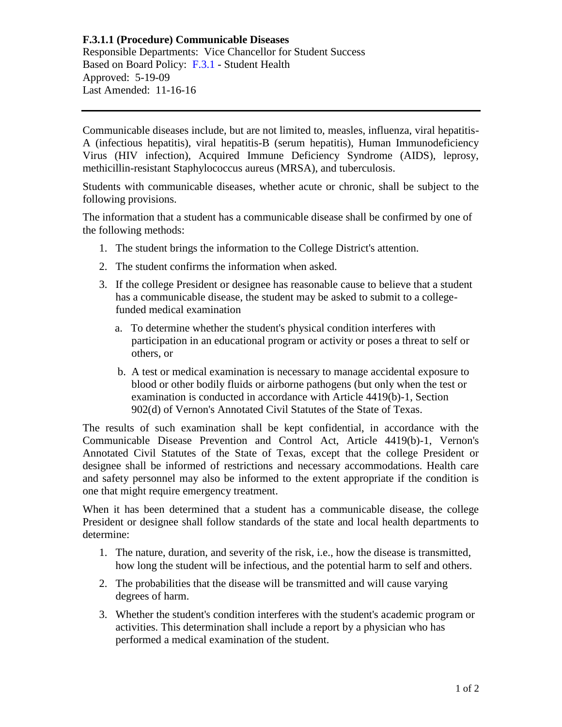## **F.3.1.1 (Procedure) Communicable Diseases** Responsible Departments: Vice Chancellor for Student Success Based on Board Policy: [F.3.1](https://www.alamo.edu/siteassets/district/about-us/leadership/board-of-trustees/policies-pdfs/section-f/f.3.1-policy.pdf) - Student Health Approved: 5-19-09 Last Amended: 11-16-16

Communicable diseases include, but are not limited to, measles, influenza, viral hepatitis-A (infectious hepatitis), viral hepatitis-B (serum hepatitis), Human Immunodeficiency Virus (HIV infection), Acquired Immune Deficiency Syndrome (AIDS), leprosy, methicillin-resistant Staphylococcus aureus (MRSA), and tuberculosis.

Students with communicable diseases, whether acute or chronic, shall be subject to the following provisions.

The information that a student has a communicable disease shall be confirmed by one of the following methods:

- 1. The student brings the information to the College District's attention.
- 2. The student confirms the information when asked.
- 3. If the college President or designee has reasonable cause to believe that a student has a communicable disease, the student may be asked to submit to a collegefunded medical examination
	- a. To determine whether the student's physical condition interferes with participation in an educational program or activity or poses a threat to self or others, or
	- b. A test or medical examination is necessary to manage accidental exposure to blood or other bodily fluids or airborne pathogens (but only when the test or examination is conducted in accordance with Article 4419(b)-1, Section 902(d) of Vernon's Annotated Civil Statutes of the State of Texas.

The results of such examination shall be kept confidential, in accordance with the Communicable Disease Prevention and Control Act, Article 4419(b)-1, Vernon's Annotated Civil Statutes of the State of Texas, except that the college President or designee shall be informed of restrictions and necessary accommodations. Health care and safety personnel may also be informed to the extent appropriate if the condition is one that might require emergency treatment.

When it has been determined that a student has a communicable disease, the college President or designee shall follow standards of the state and local health departments to determine:

- 1. The nature, duration, and severity of the risk, i.e., how the disease is transmitted, how long the student will be infectious, and the potential harm to self and others.
- 2. The probabilities that the disease will be transmitted and will cause varying degrees of harm.
- 3. Whether the student's condition interferes with the student's academic program or activities. This determination shall include a report by a physician who has performed a medical examination of the student.